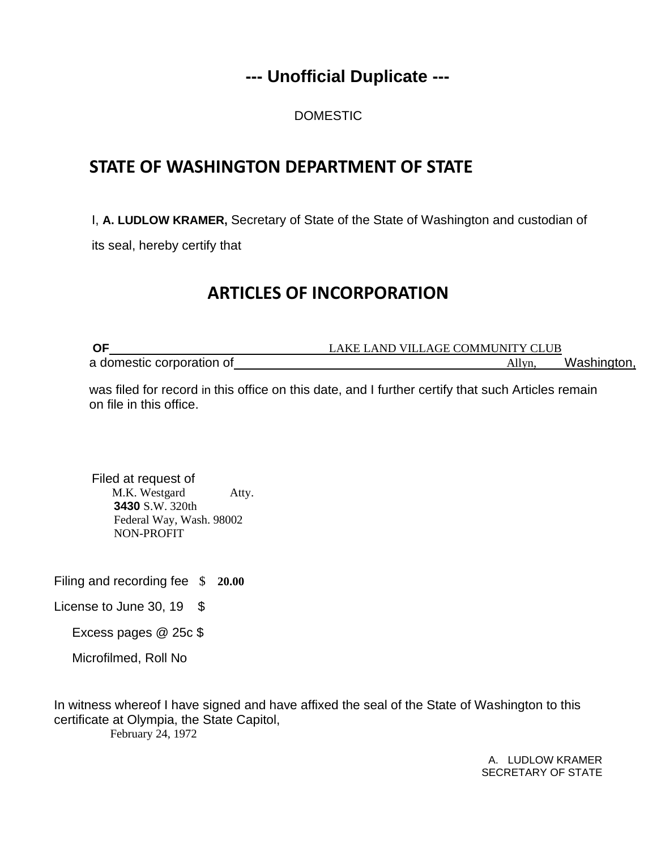# **--- Unofficial Duplicate ---**

### DOMESTIC

## **STATE OF WASHINGTON DEPARTMENT OF STATE**

I, **A. LUDLOW KRAMER,** Secretary of State of the State of Washington and custodian of

its seal, hereby certify that

### **ARTICLES OF INCORPORATION**

| <b>OF</b>                 | LAKE LAND VILLAGE COMMUNITY CLUB |             |
|---------------------------|----------------------------------|-------------|
| a domestic corporation of | Allyn,                           | Washington, |

was filed for record in this office on this date, and I further certify that such Articles remain on file in this office.

Filed at request of M.K. Westgard Atty. **3430** S.W. 320th Federal Way, Wash. 98002 NON-PROFIT

Filing and recording fee \$ **20.00**

License to June 30, 19 \$

Excess pages @ 25c \$

Microfilmed, Roll No

In witness whereof I have signed and have affixed the seal of the State of Washington to this certificate at Olympia, the State Capitol, February 24, 1972

> A. LUDLOW KRAMER SECRETARY OF STATE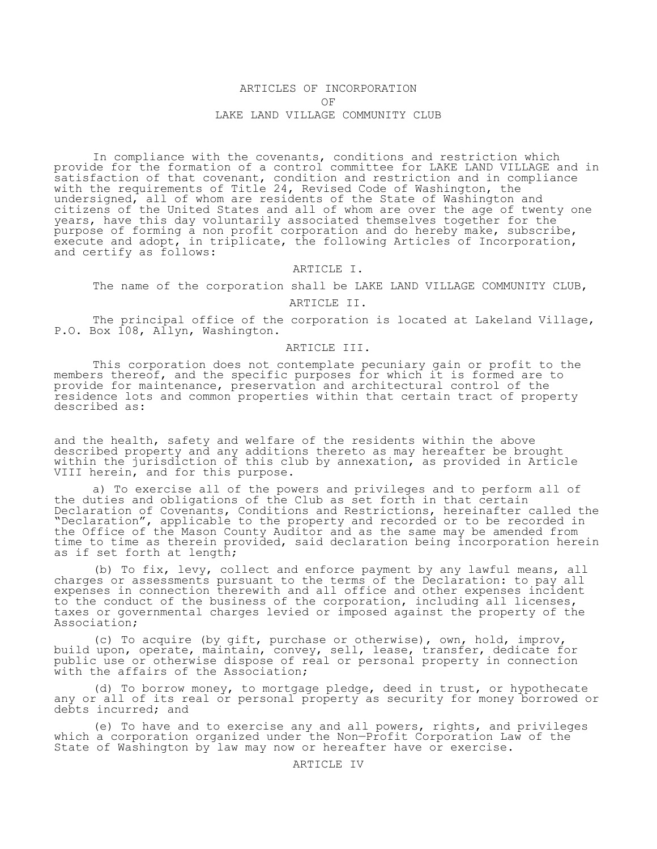### ARTICLES OF INCORPORATION OF LAKE LAND VILLAGE COMMUNITY CLUB

In compliance with the covenants, conditions and restriction which provide for the formation of a control committee for LAKE LAND VILLAGE and in .<br>satisfaction of that covenant, condition and restriction and in compliance with the requirements of Title 24, Revised Code of Washington, the undersigned, all of whom are residents of the State of Washington and citizens of the United States and all of whom are over the age of twenty one years, have this day voluntarily associated themselves together for the purpose of forming a non profit corporation and do hereby make, subscribe, execute and adopt, in triplicate, the following Articles of Incorporation, and certify as follows:

#### ARTICLE I.

The name of the corporation shall be LAKE LAND VILLAGE COMMUNITY CLUB,

ARTICLE II.

The principal office of the corporation is located at Lakeland Village, P.O. Box 108, Allyn, Washington.

#### ARTICLE III.

This corporation does not contemplate pecuniary gain or profit to the members thereof, and the specific purposes for which it is formed are to provide for maintenance, preservation and architectural control of the residence lots and common properties within that certain tract of property described as:

and the health, safety and welfare of the residents within the above described property and any additions thereto as may hereafter be brought within the jurisdiction of this club by annexation, as provided in Article VIII herein, and for this purpose.

a) To exercise all of the powers and privileges and to perform all of the duties and obligations of the Club as set forth in that certain Declaration of Covenants, Conditions and Restrictions, hereinafter called the "Declaration", applicable to the property and recorded or to be recorded in the Office of the Mason County Auditor and as the same may be amended from time to time as therein provided, said declaration being incorporation herein as if set forth at length;

(b) To fix, levy, collect and enforce payment by any lawful means, all charges or assessments pursuant to the terms of the Declaration: to pay all expenses in connection therewith and all office and other expenses incident to the conduct of the business of the corporation, including all licenses, taxes or governmental charges levied or imposed against the property of the Association;

(c) To acquire (by gift, purchase or otherwise), own, hold, improv, build upon, operate, maintain, convey, sell, lease, transfer, dedicate for public use or otherwise dispose of real or personal property in connection with the affairs of the Association;

(d) To borrow money, to mortgage pledge, deed in trust, or hypothecate any or all of its real or personal property as security for money borrowed or debts incurred; and

(e) To have and to exercise any and all powers, rights, and privileges which a corporation organized under the Non—Profit Corporation Law of the State of Washington by law may now or hereafter have or exercise.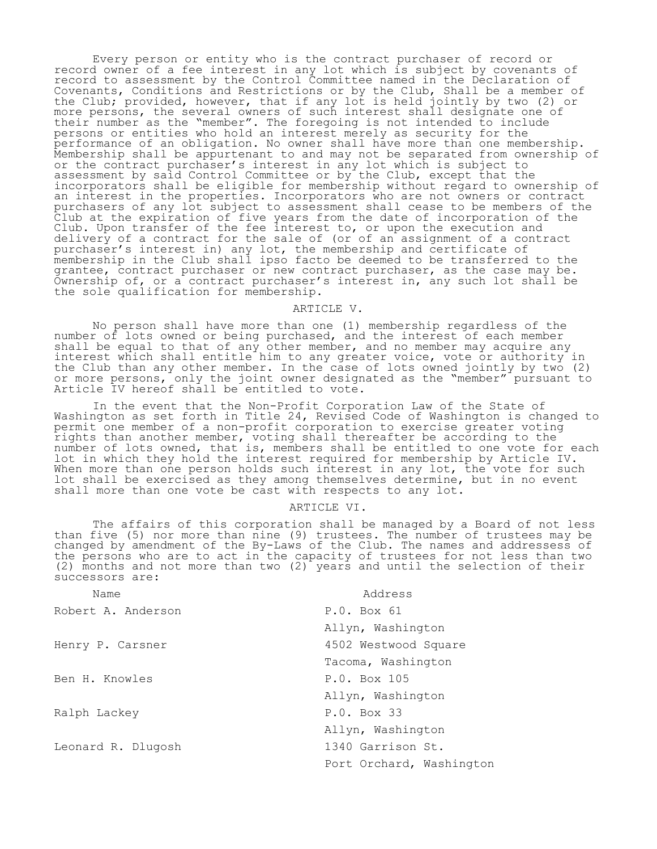Every person or entity who is the contract purchaser of record or record owner of a fee interest in any lot which is subject by covenants of record to assessment by the Control Committee named in the Declaration of Covenants, Conditions and Restrictions or by the Club, Shall be a member of the Club; provided, however, that if any lot is held jointly by two (2) or more persons, the several owners of such interest shall designate one of their number as the "member". The foregoing is not intended to include persons or entities who hold an interest merely as security for the performance of an obligation. No owner shall have more than one membership. Membership shall be appurtenant to and may not be separated from ownership of or the contract purchaser's interest in any lot which is subject to assessment by said Control Committee or by the Club, except that the incorporators shall be eligible for membership without regard to ownership of an interest in the properties. Incorporators who are not owners or contract purchasers of any lot subject to assessment shall cease to be members of the Club at the expiration of five years from the date of incorporation of the Club. Upon transfer of the fee interest to, or upon the execution and delivery of a contract for the sale of (or of an assignment of a contract purchaser's interest in) any lot, the membership and certificate of membership in the Club shall ipso facto be deemed to be transferred to the grantee, contract purchaser or new contract purchaser, as the case may be. Ownership of, or a contract purchaser's interest in, any such lot shall be the sole qualification for membership.

#### ARTICLE V.

No person shall have more than one (1) membership regardless of the number of lots owned or being purchased, and the interest of each member shall be equal to that of any other member, and no member may acquire any interest which shall entitle him to any greater voice, vote or authority in the Club than any other member. In the case of lots owned jointly by two (2) or more persons, only the joint owner designated as the "member" pursuant to Article IV hereof shall be entitled to vote.

In the event that the Non-Profit Corporation Law of the State of Washington as set forth in Title 24, Revised Code of Washington is changed to permit one member of a non-profit corporation to exercise greater voting rights than another member, voting shall thereafter be according to the number of lots owned, that is, members shall be entitled to one vote for each lot in which they hold the interest required for membership by Article IV. When more than one person holds such interest in any lot, the vote for such lot shall be exercised as they among themselves determine, but in no event shall more than one vote be cast with respects to any lot.

#### ARTICLE VI.

The affairs of this corporation shall be managed by a Board of not less than five (5) nor more than nine (9) trustees. The number of trustees may be changed by amendment of the By-Laws of the Club. The names and addressess of the persons who are to act in the capacity of trustees for not less than two (2) months and not more than two  $(2)$  years and until the selection of their successors are:

| Name               | Address                  |
|--------------------|--------------------------|
| Robert A. Anderson | P.O. Box 61              |
|                    | Allyn, Washington        |
| Henry P. Carsner   | 4502 Westwood Square     |
|                    | Tacoma, Washington       |
| Ben H. Knowles     | P.O. Box 105             |
|                    | Allyn, Washington        |
| Ralph Lackey       | P.O. Box 33              |
|                    | Allyn, Washington        |
| Leonard R. Dlugosh | 1340 Garrison St.        |
|                    | Port Orchard, Washington |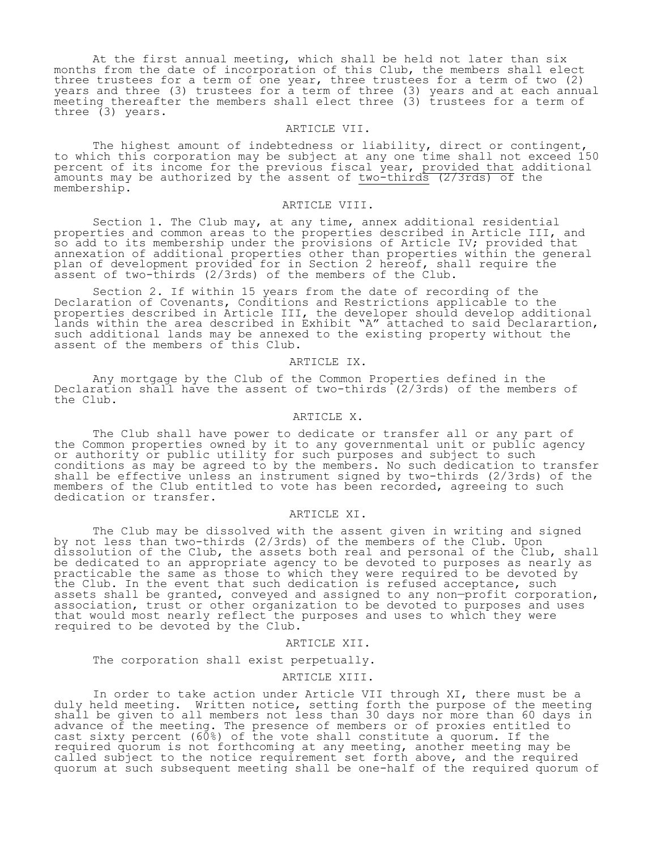At the first annual meeting, which shall be held not later than six months from the date of incorporation of this Club, the members shall elect three trustees for a term of one year, three trustees for a term of two (2) years and three (3) trustees for a term of three (3) years and at each annual meeting thereafter the members shall elect three (3) trustees for a term of three (3) years.

#### ARTICLE VII.

The highest amount of indebtedness or liability, direct or contingent, to which this corporation may be subject at any one time shall not exceed 150 percent of its income for the previous fiscal year, provided that additional amounts may be authorized by the assent of two-thirds (2/3rds) of the membership.

#### ARTICLE VIII.

Section 1. The Club may, at any time, annex additional residential properties and common areas to the properties described in Article III, and so add to its membership under the provisions of Article IV; provided that annexation of additional properties other than properties within the general plan of development provided for in Section 2 hereof, shall require the assent of two-thirds (2/3rds) of the members of the Club.

Section 2. If within 15 years from the date of recording of the Declaration of Covenants, Conditions and Restrictions applicable to the properties described in Article III, the developer should develop additional lands within the area described in Exhibit "A" attached to said Declarartion, such additional lands may be annexed to the existing property without the assent of the members of this Club.

#### ARTICLE IX.

Any mortgage by the Club of the Common Properties defined in the Declaration shall have the assent of two-thirds (2/3rds) of the members of the Club.

#### ARTICLE X.

The Club shall have power to dedicate or transfer all or any part of the Common properties owned by it to any governmental unit or public agency or authority or public utility for such purposes and subject to such conditions as may be agreed to by the members. No such dedication to transfer shall be effective unless an instrument signed by two-thirds (2/3rds) of the members of the Club entitled to vote has been recorded, agreeing to such dedication or transfer.

#### ARTICLE XI.

The Club may be dissolved with the assent given in writing and signed by not less than two-thirds (2/3rds) of the members of the Club. Upon dissolution of the Club, the assets both real and personal of the Club, shall be dedicated to an appropriate agency to be devoted to purposes as nearly as practicable the same as those to which they were required to be devoted by the Club. In the event that such dedication is refused acceptance, such assets shall be granted, conveyed and assigned to any non—profit corporation, association, trust or other organization to be devoted to purposes and uses that would most nearly reflect the purposes and uses to which they were required to be devoted by the Club.

#### ARTICLE XII.

The corporation shall exist perpetually.

#### ARTICLE XIII.

In order to take action under Article VII through XI, there must be a duly held meeting. Written notice, setting forth the purpose of the meeting shall be given to all members not less than 30 days nor more than 60 days in advance of the meeting. The presence of members or of proxies entitled to cast sixty percent (60%) of the vote shall constitute a quorum. If the required quorum is not forthcoming at any meeting, another meeting may be called subject to the notice requirement set forth above, and the required quorum at such subsequent meeting shall be one-half of the required quorum of